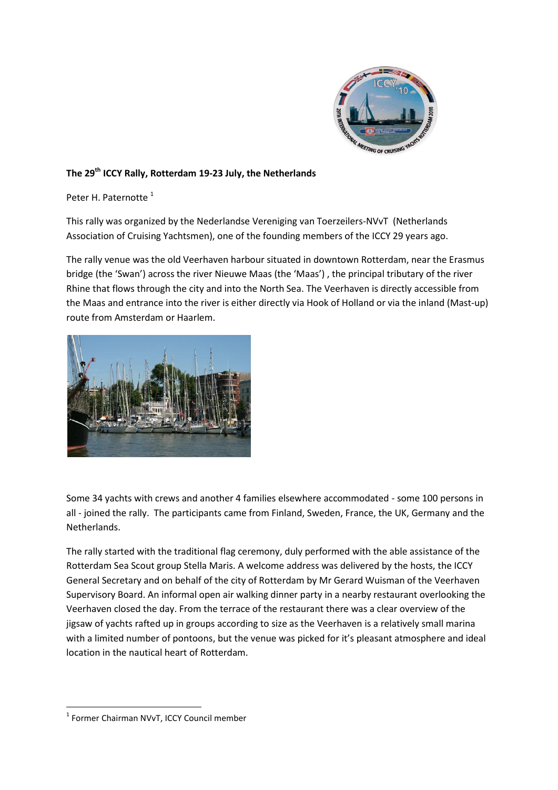

## **The 29th ICCY Rally, Rotterdam 19-23 July, the Netherlands**

Peter H. Paternotte<sup>1</sup>

This rally was organized by the Nederlandse Vereniging van Toerzeilers-NVvT (Netherlands Association of Cruising Yachtsmen), one of the founding members of the ICCY 29 years ago.

The rally venue was the old Veerhaven harbour situated in downtown Rotterdam, near the Erasmus bridge (the 'Swan') across the river Nieuwe Maas (the 'Maas') , the principal tributary of the river Rhine that flows through the city and into the North Sea. The Veerhaven is directly accessible from the Maas and entrance into the river is either directly via Hook of Holland or via the inland (Mast-up) route from Amsterdam or Haarlem.



Some 34 yachts with crews and another 4 families elsewhere accommodated - some 100 persons in all - joined the rally. The participants came from Finland, Sweden, France, the UK, Germany and the Netherlands.

The rally started with the traditional flag ceremony, duly performed with the able assistance of the Rotterdam Sea Scout group Stella Maris. A welcome address was delivered by the hosts, the ICCY General Secretary and on behalf of the city of Rotterdam by Mr Gerard Wuisman of the Veerhaven Supervisory Board. An informal open air walking dinner party in a nearby restaurant overlooking the Veerhaven closed the day. From the terrace of the restaurant there was a clear overview of the jigsaw of yachts rafted up in groups according to size as the Veerhaven is a relatively small marina with a limited number of pontoons, but the venue was picked for it's pleasant atmosphere and ideal location in the nautical heart of Rotterdam.

**.** 

<sup>1</sup> Former Chairman NVvT, ICCY Council member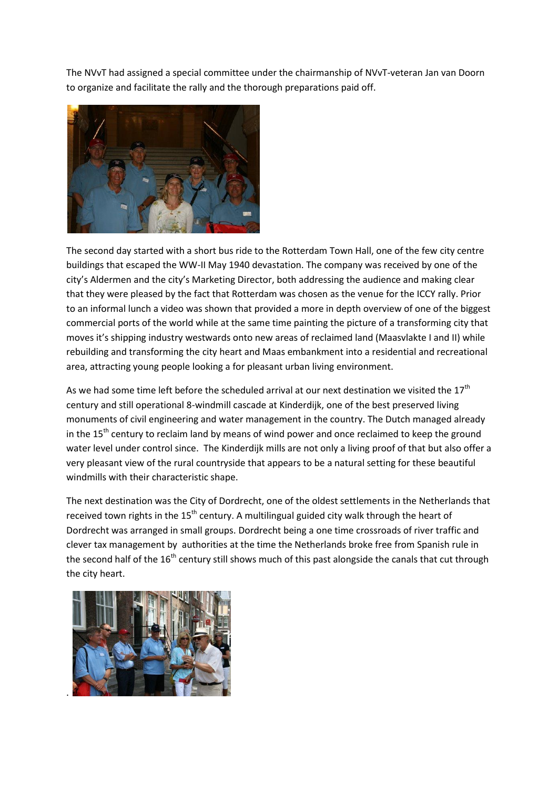The NVvT had assigned a special committee under the chairmanship of NVvT-veteran Jan van Doorn to organize and facilitate the rally and the thorough preparations paid off.



The second day started with a short bus ride to the Rotterdam Town Hall, one of the few city centre buildings that escaped the WW-II May 1940 devastation. The company was received by one of the city's Aldermen and the city's Marketing Director, both addressing the audience and making clear that they were pleased by the fact that Rotterdam was chosen as the venue for the ICCY rally. Prior to an informal lunch a video was shown that provided a more in depth overview of one of the biggest commercial ports of the world while at the same time painting the picture of a transforming city that moves it's shipping industry westwards onto new areas of reclaimed land (Maasvlakte I and II) while rebuilding and transforming the city heart and Maas embankment into a residential and recreational area, attracting young people looking a for pleasant urban living environment.

As we had some time left before the scheduled arrival at our next destination we visited the  $17<sup>th</sup>$ century and still operational 8-windmill cascade at Kinderdijk, one of the best preserved living monuments of civil engineering and water management in the country. The Dutch managed already in the  $15<sup>th</sup>$  century to reclaim land by means of wind power and once reclaimed to keep the ground water level under control since. The Kinderdijk mills are not only a living proof of that but also offer a very pleasant view of the rural countryside that appears to be a natural setting for these beautiful windmills with their characteristic shape.

The next destination was the City of Dordrecht, one of the oldest settlements in the Netherlands that received town rights in the 15<sup>th</sup> century. A multilingual guided city walk through the heart of Dordrecht was arranged in small groups. Dordrecht being a one time crossroads of river traffic and clever tax management by authorities at the time the Netherlands broke free from Spanish rule in the second half of the 16<sup>th</sup> century still shows much of this past alongside the canals that cut through the city heart.

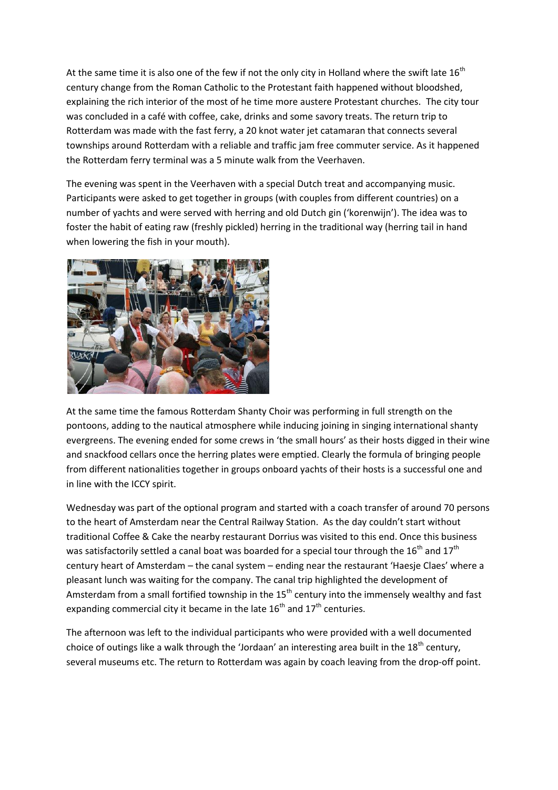At the same time it is also one of the few if not the only city in Holland where the swift late  $16<sup>th</sup>$ century change from the Roman Catholic to the Protestant faith happened without bloodshed, explaining the rich interior of the most of he time more austere Protestant churches. The city tour was concluded in a café with coffee, cake, drinks and some savory treats. The return trip to Rotterdam was made with the fast ferry, a 20 knot water jet catamaran that connects several townships around Rotterdam with a reliable and traffic jam free commuter service. As it happened the Rotterdam ferry terminal was a 5 minute walk from the Veerhaven.

The evening was spent in the Veerhaven with a special Dutch treat and accompanying music. Participants were asked to get together in groups (with couples from different countries) on a number of yachts and were served with herring and old Dutch gin ('korenwijn'). The idea was to foster the habit of eating raw (freshly pickled) herring in the traditional way (herring tail in hand when lowering the fish in your mouth).



At the same time the famous Rotterdam Shanty Choir was performing in full strength on the pontoons, adding to the nautical atmosphere while inducing joining in singing international shanty evergreens. The evening ended for some crews in 'the small hours' as their hosts digged in their wine and snackfood cellars once the herring plates were emptied. Clearly the formula of bringing people from different nationalities together in groups onboard yachts of their hosts is a successful one and in line with the ICCY spirit.

Wednesday was part of the optional program and started with a coach transfer of around 70 persons to the heart of Amsterdam near the Central Railway Station. As the day couldn't start without traditional Coffee & Cake the nearby restaurant Dorrius was visited to this end. Once this business was satisfactorily settled a canal boat was boarded for a special tour through the  $16^{th}$  and  $17^{th}$ century heart of Amsterdam – the canal system – ending near the restaurant 'Haesje Claes' where a pleasant lunch was waiting for the company. The canal trip highlighted the development of Amsterdam from a small fortified township in the  $15^{th}$  century into the immensely wealthy and fast expanding commercial city it became in the late  $16^{th}$  and  $17^{th}$  centuries.

The afternoon was left to the individual participants who were provided with a well documented choice of outings like a walk through the 'Jordaan' an interesting area built in the 18<sup>th</sup> century, several museums etc. The return to Rotterdam was again by coach leaving from the drop-off point.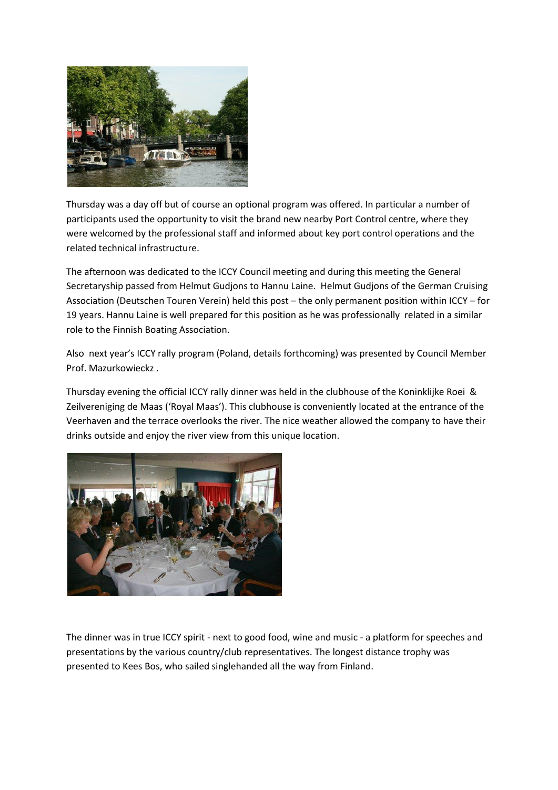

Thursday was a day off but of course an optional program was offered. In particular a number of participants used the opportunity to visit the brand new nearby Port Control centre, where they were welcomed by the professional staff and informed about key port control operations and the related technical infrastructure.

The afternoon was dedicated to the ICCY Council meeting and during this meeting the General Secretaryship passed from Helmut Gudjons to Hannu Laine. Helmut Gudjons of the German Cruising Association (Deutschen Touren Verein) held this post – the only permanent position within ICCY – for 19 years. Hannu Laine is well prepared for this position as he was professionally related in a similar role to the Finnish Boating Association.

Also next year's ICCY rally program (Poland, details forthcoming) was presented by Council Member Prof. Mazurkowieckz .

Thursday evening the official ICCY rally dinner was held in the clubhouse of the Koninklijke Roei & Zeilvereniging de Maas ('Royal Maas'). This clubhouse is conveniently located at the entrance of the Veerhaven and the terrace overlooks the river. The nice weather allowed the company to have their drinks outside and enjoy the river view from this unique location.



The dinner was in true ICCY spirit - next to good food, wine and music - a platform for speeches and presentations by the various country/club representatives. The longest distance trophy was presented to Kees Bos, who sailed singlehanded all the way from Finland.